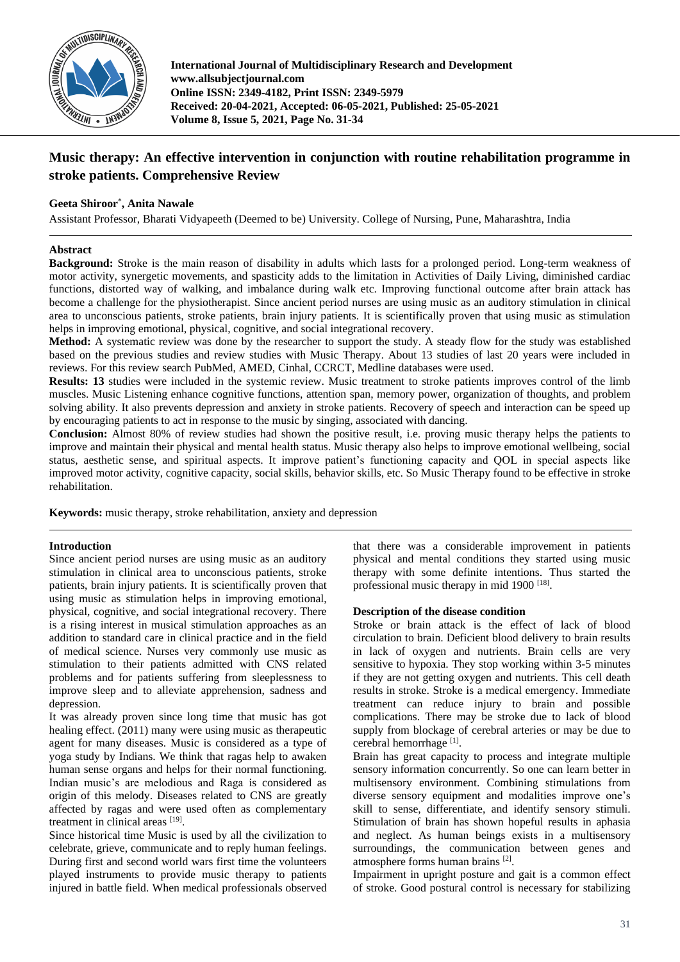

**International Journal of Multidisciplinary Research and Development www.allsubjectjournal.com Online ISSN: 2349-4182, Print ISSN: 2349-5979 Received: 20-04-2021, Accepted: 06-05-2021, Published: 25-05-2021 Volume 8, Issue 5, 2021, Page No. 31-34**

# **Music therapy: An effective intervention in conjunction with routine rehabilitation programme in stroke patients. Comprehensive Review**

# **Geeta Shiroor**\* **, Anita Nawale**

Assistant Professor, Bharati Vidyapeeth (Deemed to be) University. College of Nursing, Pune, Maharashtra, India

# **Abstract**

**Background:** Stroke is the main reason of disability in adults which lasts for a prolonged period. Long-term weakness of motor activity, synergetic movements, and spasticity adds to the limitation in Activities of Daily Living, diminished cardiac functions, distorted way of walking, and imbalance during walk etc. Improving functional outcome after brain attack has become a challenge for the physiotherapist. Since ancient period nurses are using music as an auditory stimulation in clinical area to unconscious patients, stroke patients, brain injury patients. It is scientifically proven that using music as stimulation helps in improving emotional, physical, cognitive, and social integrational recovery.

**Method:** A systematic review was done by the researcher to support the study. A steady flow for the study was established based on the previous studies and review studies with Music Therapy. About 13 studies of last 20 years were included in reviews. For this review search PubMed, AMED, Cinhal, CCRCT, Medline databases were used.

**Results: 13** studies were included in the systemic review. Music treatment to stroke patients improves control of the limb muscles. Music Listening enhance cognitive functions, attention span, memory power, organization of thoughts, and problem solving ability. It also prevents depression and anxiety in stroke patients. Recovery of speech and interaction can be speed up by encouraging patients to act in response to the music by singing, associated with dancing.

**Conclusion:** Almost 80% of review studies had shown the positive result, i.e. proving music therapy helps the patients to improve and maintain their physical and mental health status. Music therapy also helps to improve emotional wellbeing, social status, aesthetic sense, and spiritual aspects. It improve patient's functioning capacity and QOL in special aspects like improved motor activity, cognitive capacity, social skills, behavior skills, etc. So Music Therapy found to be effective in stroke rehabilitation.

**Keywords:** music therapy, stroke rehabilitation, anxiety and depression

## **Introduction**

Since ancient period nurses are using music as an auditory stimulation in clinical area to unconscious patients, stroke patients, brain injury patients. It is scientifically proven that using music as stimulation helps in improving emotional, physical, cognitive, and social integrational recovery. There is a rising interest in musical stimulation approaches as an addition to standard care in clinical practice and in the field of medical science. Nurses very commonly use music as stimulation to their patients admitted with CNS related problems and for patients suffering from sleeplessness to improve sleep and to alleviate apprehension, sadness and depression.

It was already proven since long time that music has got healing effect. (2011) many were using music as therapeutic agent for many diseases. Music is considered as a type of yoga study by Indians. We think that ragas help to awaken human sense organs and helps for their normal functioning. Indian music's are melodious and Raga is considered as origin of this melody. Diseases related to CNS are greatly affected by ragas and were used often as complementary treatment in clinical areas [19].

Since historical time Music is used by all the civilization to celebrate, grieve, communicate and to reply human feelings. During first and second world wars first time the volunteers played instruments to provide music therapy to patients injured in battle field. When medical professionals observed

that there was a considerable improvement in patients physical and mental conditions they started using music therapy with some definite intentions. Thus started the professional music therapy in mid 1900<sup>[18]</sup>.

## **Description of the disease condition**

Stroke or brain attack is the effect of lack of blood circulation to brain. Deficient blood delivery to brain results in lack of oxygen and nutrients. Brain cells are very sensitive to hypoxia. They stop working within 3-5 minutes if they are not getting oxygen and nutrients. This cell death results in stroke. Stroke is a medical emergency. Immediate treatment can reduce injury to brain and possible complications. There may be stroke due to lack of blood supply from blockage of cerebral arteries or may be due to cerebral hemorrhage [1].

Brain has great capacity to process and integrate multiple sensory information concurrently. So one can learn better in multisensory environment. Combining stimulations from diverse sensory equipment and modalities improve one's skill to sense, differentiate, and identify sensory stimuli. Stimulation of brain has shown hopeful results in aphasia and neglect. As human beings exists in a multisensory surroundings, the communication between genes and atmosphere forms human brains [2] .

Impairment in upright posture and gait is a common effect of stroke. Good postural control is necessary for stabilizing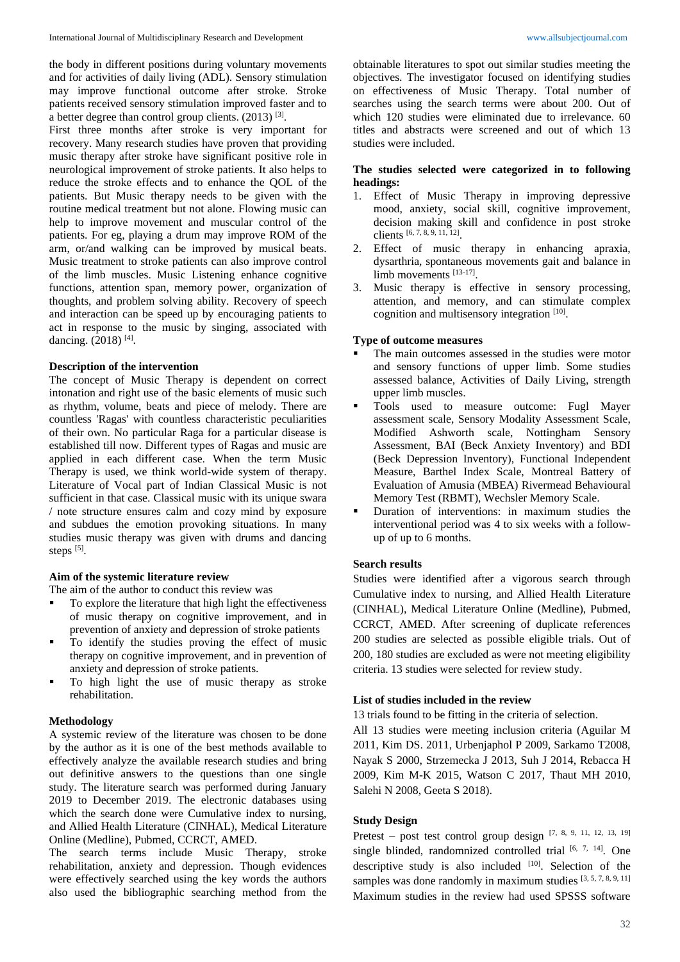the body in different positions during voluntary movements and for activities of daily living (ADL). Sensory stimulation may improve functional outcome after stroke. Stroke patients received sensory stimulation improved faster and to a better degree than control group clients. (2013)<sup>[3]</sup>.

First three months after stroke is very important for recovery. Many research studies have proven that providing music therapy after stroke have significant positive role in neurological improvement of stroke patients. It also helps to reduce the stroke effects and to enhance the QOL of the patients. But Music therapy needs to be given with the routine medical treatment but not alone. Flowing music can help to improve movement and muscular control of the patients. For eg, playing a drum may improve ROM of the arm, or/and walking can be improved by musical beats. Music treatment to stroke patients can also improve control of the limb muscles. Music Listening enhance cognitive functions, attention span, memory power, organization of thoughts, and problem solving ability. Recovery of speech and interaction can be speed up by encouraging patients to act in response to the music by singing, associated with dancing. (2018)<sup>[4]</sup>.

## **Description of the intervention**

The concept of Music Therapy is dependent on correct intonation and right use of the basic elements of music such as rhythm, volume, beats and piece of melody. There are countless 'Ragas' with countless characteristic peculiarities of their own. No particular Raga for a particular disease is established till now. Different types of Ragas and music are applied in each different case. When the term Music Therapy is used, we think world-wide system of therapy. Literature of Vocal part of Indian Classical Music is not sufficient in that case. Classical music with its unique swara / note structure ensures calm and cozy mind by exposure and subdues the emotion provoking situations. In many studies music therapy was given with drums and dancing steps  $^{[5]}$ .

#### **Aim of the systemic literature review**

The aim of the author to conduct this review was

- To explore the literature that high light the effectiveness of music therapy on cognitive improvement, and in prevention of anxiety and depression of stroke patients
- To identify the studies proving the effect of music therapy on cognitive improvement, and in prevention of anxiety and depression of stroke patients.
- To high light the use of music therapy as stroke rehabilitation.

#### **Methodology**

A systemic review of the literature was chosen to be done by the author as it is one of the best methods available to effectively analyze the available research studies and bring out definitive answers to the questions than one single study. The literature search was performed during January 2019 to December 2019. The electronic databases using which the search done were Cumulative index to nursing, and Allied Health Literature (CINHAL), Medical Literature Online (Medline), Pubmed, CCRCT, AMED.

The search terms include Music Therapy, stroke rehabilitation, anxiety and depression. Though evidences were effectively searched using the key words the authors also used the bibliographic searching method from the

obtainable literatures to spot out similar studies meeting the objectives. The investigator focused on identifying studies on effectiveness of Music Therapy. Total number of searches using the search terms were about 200. Out of which 120 studies were eliminated due to irrelevance. 60 titles and abstracts were screened and out of which 13 studies were included.

## **The studies selected were categorized in to following headings:**

- 1. Effect of Music Therapy in improving depressive mood, anxiety, social skill, cognitive improvement, decision making skill and confidence in post stroke clients [6, 7, 8, 9, 11, 12] .
- 2. Effect of music therapy in enhancing apraxia, dysarthria, spontaneous movements gait and balance in limb movements [13-17].
- 3. Music therapy is effective in sensory processing, attention, and memory, and can stimulate complex cognition and multisensory integration [10] .

#### **Type of outcome measures**

- The main outcomes assessed in the studies were motor and sensory functions of upper limb. Some studies assessed balance, Activities of Daily Living, strength upper limb muscles.
- Tools used to measure outcome: Fugl Mayer assessment scale, Sensory Modality Assessment Scale, Modified Ashworth scale, Nottingham Sensory Assessment, BAI (Beck Anxiety Inventory) and BDI (Beck Depression Inventory), Functional Independent Measure, Barthel Index Scale, Montreal Battery of Evaluation of Amusia (MBEA) Rivermead Behavioural Memory Test (RBMT), Wechsler Memory Scale.
- Duration of interventions: in maximum studies the interventional period was 4 to six weeks with a followup of up to 6 months.

## **Search results**

Studies were identified after a vigorous search through Cumulative index to nursing, and Allied Health Literature (CINHAL), Medical Literature Online (Medline), Pubmed, CCRCT, AMED. After screening of duplicate references 200 studies are selected as possible eligible trials. Out of 200, 180 studies are excluded as were not meeting eligibility criteria. 13 studies were selected for review study.

#### **List of studies included in the review**

13 trials found to be fitting in the criteria of selection.

All 13 studies were meeting inclusion criteria (Aguilar M 2011, Kim DS. 2011, Urbenjaphol P 2009, Sarkamo T2008, Nayak S 2000, Strzemecka J 2013, Suh J 2014, Rebacca H 2009, Kim M-K 2015, Watson C 2017, Thaut MH 2010, Salehi N 2008, Geeta S 2018).

## **Study Design**

Pretest – post test control group design [7, 8, 9, 11, 12, 13, 19] single blinded, randomnized controlled trial  $[6, 7, 14]$ . One descriptive study is also included [10]. Selection of the samples was done randomly in maximum studies [3, 5, 7, 8, 9, 11] Maximum studies in the review had used SPSSS software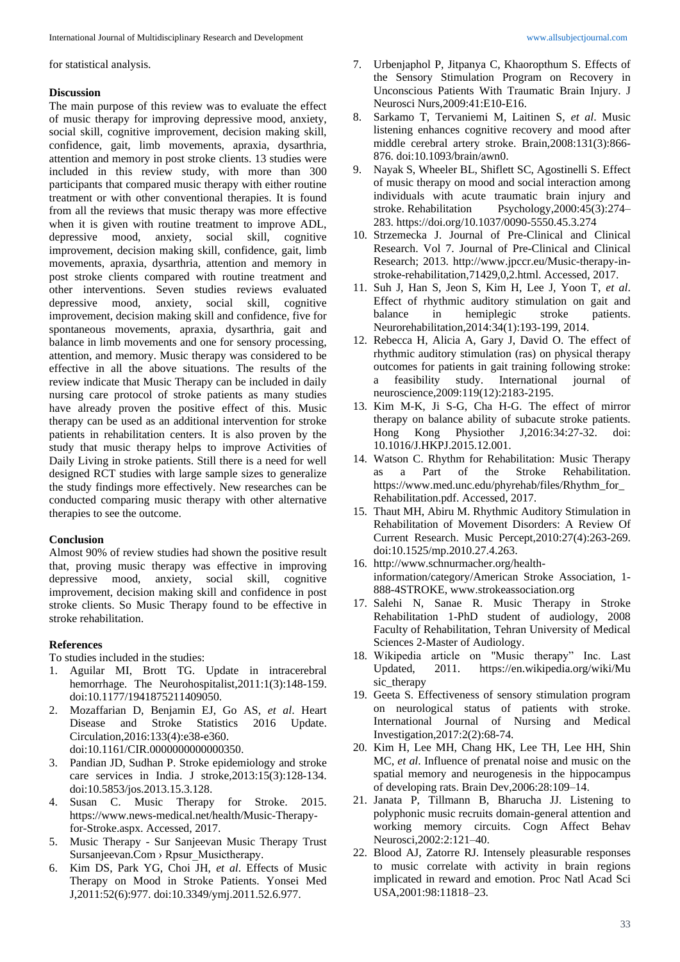for statistical analysis.

# **Discussion**

The main purpose of this review was to evaluate the effect of music therapy for improving depressive mood, anxiety, social skill, cognitive improvement, decision making skill, confidence, gait, limb movements, apraxia, dysarthria, attention and memory in post stroke clients. 13 studies were included in this review study, with more than 300 participants that compared music therapy with either routine treatment or with other conventional therapies. It is found from all the reviews that music therapy was more effective when it is given with routine treatment to improve ADL, depressive mood, anxiety, social skill, cognitive improvement, decision making skill, confidence, gait, limb movements, apraxia, dysarthria, attention and memory in post stroke clients compared with routine treatment and other interventions. Seven studies reviews evaluated depressive mood, anxiety, social skill, cognitive improvement, decision making skill and confidence, five for spontaneous movements, apraxia, dysarthria, gait and balance in limb movements and one for sensory processing, attention, and memory. Music therapy was considered to be effective in all the above situations. The results of the review indicate that Music Therapy can be included in daily nursing care protocol of stroke patients as many studies have already proven the positive effect of this. Music therapy can be used as an additional intervention for stroke patients in rehabilitation centers. It is also proven by the study that music therapy helps to improve Activities of Daily Living in stroke patients. Still there is a need for well designed RCT studies with large sample sizes to generalize the study findings more effectively. New researches can be conducted comparing music therapy with other alternative therapies to see the outcome.

# **Conclusion**

Almost 90% of review studies had shown the positive result that, proving music therapy was effective in improving depressive mood, anxiety, social skill, cognitive improvement, decision making skill and confidence in post stroke clients. So Music Therapy found to be effective in stroke rehabilitation.

# **References**

To studies included in the studies:

- 1. Aguilar MI, Brott TG. Update in intracerebral hemorrhage. The Neurohospitalist,2011:1(3):148-159. doi:10.1177/1941875211409050.
- 2. Mozaffarian D, Benjamin EJ, Go AS, *et al*. Heart Disease and Stroke Statistics 2016 Update. Circulation,2016:133(4):e38-e360. doi:10.1161/CIR.0000000000000350.
- 3. Pandian JD, Sudhan P. Stroke epidemiology and stroke care services in India. J stroke,2013:15(3):128-134. doi:10.5853/jos.2013.15.3.128.
- 4. Susan C. Music Therapy for Stroke. 2015. https://www.news-medical.net/health/Music-Therapyfor-Stroke.aspx. Accessed, 2017.
- 5. Music Therapy Sur Sanjeevan Music Therapy Trust Sursanjeevan.Com > Rpsur\_Musictherapy.
- 6. Kim DS, Park YG, Choi JH, *et al*. Effects of Music Therapy on Mood in Stroke Patients. Yonsei Med J,2011:52(6):977. doi:10.3349/ymj.2011.52.6.977.
- 7. Urbenjaphol P, Jitpanya C, Khaoropthum S. Effects of the Sensory Stimulation Program on Recovery in Unconscious Patients With Traumatic Brain Injury. J Neurosci Nurs,2009:41:E10-E16.
- 8. Sarkamo T, Tervaniemi M, Laitinen S, *et al*. Music listening enhances cognitive recovery and mood after middle cerebral artery stroke. Brain,2008:131(3):866- 876. doi:10.1093/brain/awn0.
- 9. Nayak S, Wheeler BL, Shiflett SC, Agostinelli S. Effect of music therapy on mood and social interaction among individuals with acute traumatic brain injury and stroke. Rehabilitation Psychology,2000:45(3):274– 283. https://doi.org/10.1037/0090-5550.45.3.274
- 10. Strzemecka J. Journal of Pre-Clinical and Clinical Research. Vol 7. Journal of Pre-Clinical and Clinical Research; 2013. http://www.jpccr.eu/Music-therapy-instroke-rehabilitation,71429,0,2.html. Accessed, 2017.
- 11. Suh J, Han S, Jeon S, Kim H, Lee J, Yoon T, *et al*. Effect of rhythmic auditory stimulation on gait and balance in hemiplegic stroke patients. Neurorehabilitation,2014:34(1):193-199, 2014.
- 12. Rebecca H, Alicia A, Gary J, David O. The effect of rhythmic auditory stimulation (ras) on physical therapy outcomes for patients in gait training following stroke: a feasibility study. International journal of neuroscience,2009:119(12):2183-2195.
- 13. Kim M-K, Ji S-G, Cha H-G. The effect of mirror therapy on balance ability of subacute stroke patients. Hong Kong Physiother J,2016:34:27-32. doi: 10.1016/J.HKPJ.2015.12.001.
- 14. Watson C. Rhythm for Rehabilitation: Music Therapy as a Part of the Stroke Rehabilitation. https://www.med.unc.edu/phyrehab/files/Rhythm\_for\_ Rehabilitation.pdf. Accessed, 2017.
- 15. Thaut MH, Abiru M. Rhythmic Auditory Stimulation in Rehabilitation of Movement Disorders: A Review Of Current Research. Music Percept,2010:27(4):263-269. doi:10.1525/mp.2010.27.4.263.
- 16. http://www.schnurmacher.org/healthinformation/category/American Stroke Association, 1- 888-4STROKE, www.strokeassociation.org
- 17. Salehi N, Sanae R. Music Therapy in Stroke Rehabilitation 1-PhD student of audiology, 2008 Faculty of Rehabilitation, Tehran University of Medical Sciences 2-Master of Audiology.
- 18. Wikipedia article on "Music therapy" Inc. Last Updated, 2011. https://en.wikipedia.org/wiki/Mu sic therapy
- 19. Geeta S. Effectiveness of sensory stimulation program on neurological status of patients with stroke. International Journal of Nursing and Medical Investigation,2017:2(2):68-74.
- 20. Kim H, Lee MH, Chang HK, Lee TH, Lee HH, Shin MC, *et al*. Influence of prenatal noise and music on the spatial memory and neurogenesis in the hippocampus of developing rats. Brain Dev,2006:28:109–14.
- 21. Janata P, Tillmann B, Bharucha JJ. Listening to polyphonic music recruits domain-general attention and working memory circuits. Cogn Affect Behav Neurosci,2002:2:121–40.
- 22. Blood AJ, Zatorre RJ. Intensely pleasurable responses to music correlate with activity in brain regions implicated in reward and emotion. Proc Natl Acad Sci USA,2001:98:11818–23.